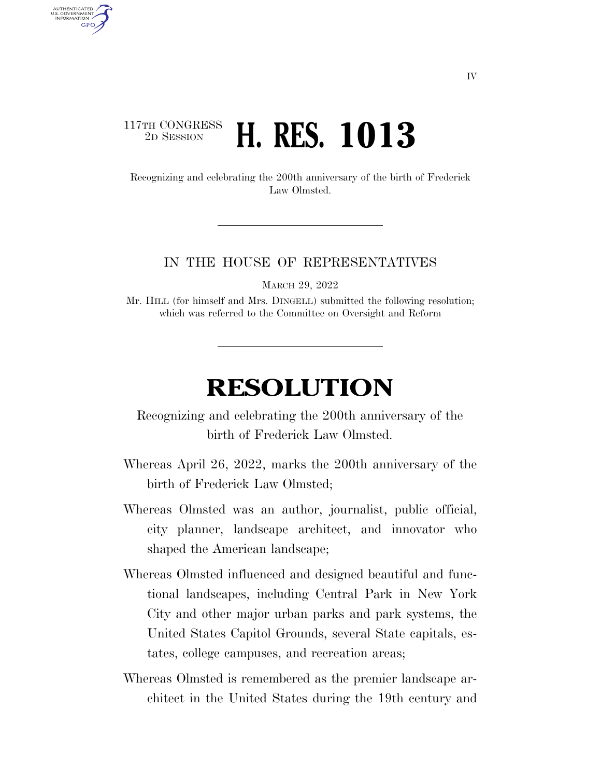## 117TH CONGRESS<br>2D SESSION 2D SESSION **H. RES. 1013**

AUTHENTICATED U.S. GOVERNMENT **GPO** 

> Recognizing and celebrating the 200th anniversary of the birth of Frederick Law Olmsted.

## IN THE HOUSE OF REPRESENTATIVES

MARCH 29, 2022

Mr. HILL (for himself and Mrs. DINGELL) submitted the following resolution; which was referred to the Committee on Oversight and Reform

## **RESOLUTION**

Recognizing and celebrating the 200th anniversary of the birth of Frederick Law Olmsted.

- Whereas April 26, 2022, marks the 200th anniversary of the birth of Frederick Law Olmsted;
- Whereas Olmsted was an author, journalist, public official, city planner, landscape architect, and innovator who shaped the American landscape;
- Whereas Olmsted influenced and designed beautiful and functional landscapes, including Central Park in New York City and other major urban parks and park systems, the United States Capitol Grounds, several State capitals, estates, college campuses, and recreation areas;
- Whereas Olmsted is remembered as the premier landscape architect in the United States during the 19th century and